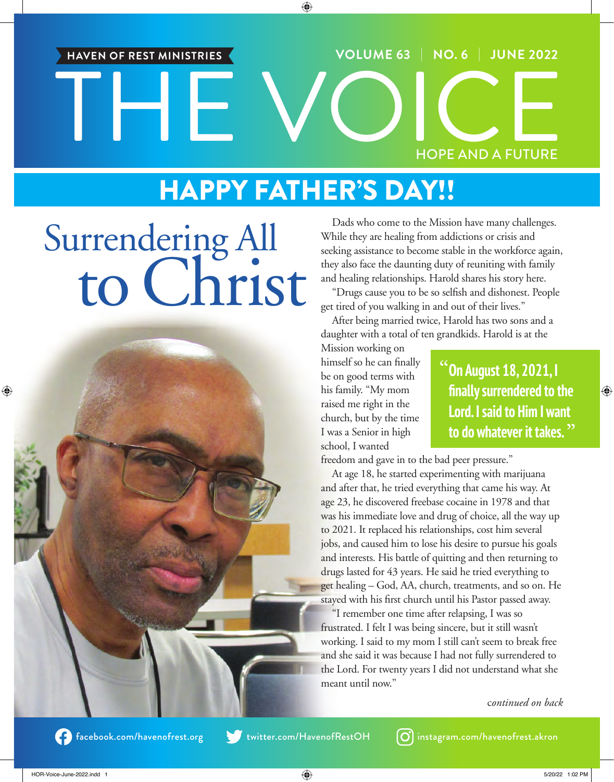## THE VOICE **VOLUME 63** | **NO. 6** | **JUNE 2022** HOPE AND A FUTURE **HAVEN OF REST MINISTRIES**

### HAPPY FATHER'S DAY!!

## Surrendering All to Christ



Dads who come to the Mission have many challenges. While they are healing from addictions or crisis and seeking assistance to become stable in the workforce again, they also face the daunting duty of reuniting with family and healing relationships. Harold shares his story here.

"Drugs cause you to be so selfish and dishonest. People get tired of you walking in and out of their lives."

After being married twice, Harold has two sons and a daughter with a total of ten grandkids. Harold is at the

Mission working on himself so he can finally be on good terms with his family. "My mom raised me right in the church, but by the time I was a Senior in high school, I wanted

**"On August 18, 2021, I finally surrendered to the Lord. I said to Him I want to do whatever it takes. "**

freedom and gave in to the bad peer pressure."

At age 18, he started experimenting with marijuana and after that, he tried everything that came his way. At age 23, he discovered freebase cocaine in 1978 and that was his immediate love and drug of choice, all the way up to 2021. It replaced his relationships, cost him several jobs, and caused him to lose his desire to pursue his goals and interests. His battle of quitting and then returning to drugs lasted for 43 years. He said he tried everything to get healing – God, AA, church, treatments, and so on. He stayed with his first church until his Pastor passed away.

"I remember one time after relapsing, I was so frustrated. I felt I was being sincere, but it still wasn't working. I said to my mom I still can't seem to break free and she said it was because I had not fully surrendered to the Lord. For twenty years I did not understand what she meant until now."

c*ontinued on back*